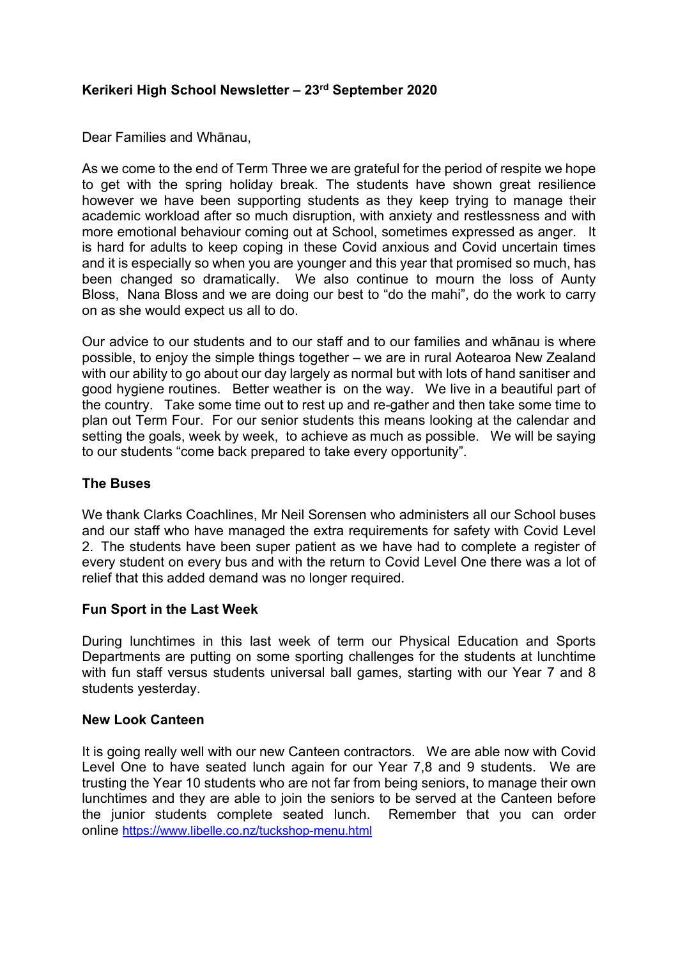# **Kerikeri High School Newsletter – 23rd September 2020**

Dear Families and Whānau,

As we come to the end of Term Three we are grateful for the period of respite we hope to get with the spring holiday break. The students have shown great resilience however we have been supporting students as they keep trying to manage their academic workload after so much disruption, with anxiety and restlessness and with more emotional behaviour coming out at School, sometimes expressed as anger. It is hard for adults to keep coping in these Covid anxious and Covid uncertain times and it is especially so when you are younger and this year that promised so much, has been changed so dramatically. We also continue to mourn the loss of Aunty Bloss, Nana Bloss and we are doing our best to "do the mahi", do the work to carry on as she would expect us all to do.

Our advice to our students and to our staff and to our families and whānau is where possible, to enjoy the simple things together – we are in rural Aotearoa New Zealand with our ability to go about our day largely as normal but with lots of hand sanitiser and good hygiene routines. Better weather is on the way. We live in a beautiful part of the country. Take some time out to rest up and re-gather and then take some time to plan out Term Four. For our senior students this means looking at the calendar and setting the goals, week by week, to achieve as much as possible. We will be saying to our students "come back prepared to take every opportunity".

### **The Buses**

We thank Clarks Coachlines, Mr Neil Sorensen who administers all our School buses and our staff who have managed the extra requirements for safety with Covid Level 2. The students have been super patient as we have had to complete a register of every student on every bus and with the return to Covid Level One there was a lot of relief that this added demand was no longer required.

### **Fun Sport in the Last Week**

During lunchtimes in this last week of term our Physical Education and Sports Departments are putting on some sporting challenges for the students at lunchtime with fun staff versus students universal ball games, starting with our Year 7 and 8 students yesterday.

#### **New Look Canteen**

It is going really well with our new Canteen contractors. We are able now with Covid Level One to have seated lunch again for our Year 7,8 and 9 students. We are trusting the Year 10 students who are not far from being seniors, to manage their own lunchtimes and they are able to join the seniors to be served at the Canteen before the junior students complete seated lunch. Remember that you can order online [https://www.libelle.co.nz/tuckshop](https://www.libelle.co.nz/tuckshop-menu.html)-menu.html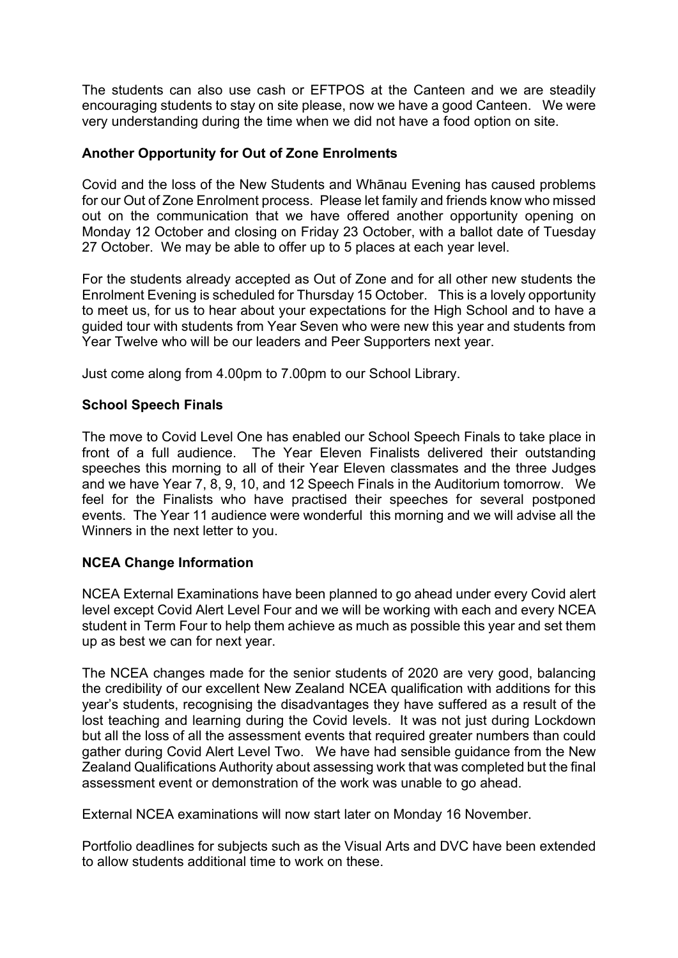The students can also use cash or EFTPOS at the Canteen and we are steadily encouraging students to stay on site please, now we have a good Canteen. We were very understanding during the time when we did not have a food option on site.

## **Another Opportunity for Out of Zone Enrolments**

Covid and the loss of the New Students and Whānau Evening has caused problems for our Out of Zone Enrolment process. Please let family and friends know who missed out on the communication that we have offered another opportunity opening on Monday 12 October and closing on Friday 23 October, with a ballot date of Tuesday 27 October. We may be able to offer up to 5 places at each year level.

For the students already accepted as Out of Zone and for all other new students the Enrolment Evening is scheduled for Thursday 15 October. This is a lovely opportunity to meet us, for us to hear about your expectations for the High School and to have a guided tour with students from Year Seven who were new this year and students from Year Twelve who will be our leaders and Peer Supporters next year.

Just come along from 4.00pm to 7.00pm to our School Library.

## **School Speech Finals**

The move to Covid Level One has enabled our School Speech Finals to take place in front of a full audience. The Year Eleven Finalists delivered their outstanding speeches this morning to all of their Year Eleven classmates and the three Judges and we have Year 7, 8, 9, 10, and 12 Speech Finals in the Auditorium tomorrow. We feel for the Finalists who have practised their speeches for several postponed events. The Year 11 audience were wonderful this morning and we will advise all the Winners in the next letter to you.

# **NCEA Change Information**

NCEA External Examinations have been planned to go ahead under every Covid alert level except Covid Alert Level Four and we will be working with each and every NCEA student in Term Four to help them achieve as much as possible this year and set them up as best we can for next year.

The NCEA changes made for the senior students of 2020 are very good, balancing the credibility of our excellent New Zealand NCEA qualification with additions for this year's students, recognising the disadvantages they have suffered as a result of the lost teaching and learning during the Covid levels. It was not just during Lockdown but all the loss of all the assessment events that required greater numbers than could gather during Covid Alert Level Two. We have had sensible guidance from the New Zealand Qualifications Authority about assessing work that was completed but the final assessment event or demonstration of the work was unable to go ahead.

External NCEA examinations will now start later on Monday 16 November.

Portfolio deadlines for subjects such as the Visual Arts and DVC have been extended to allow students additional time to work on these.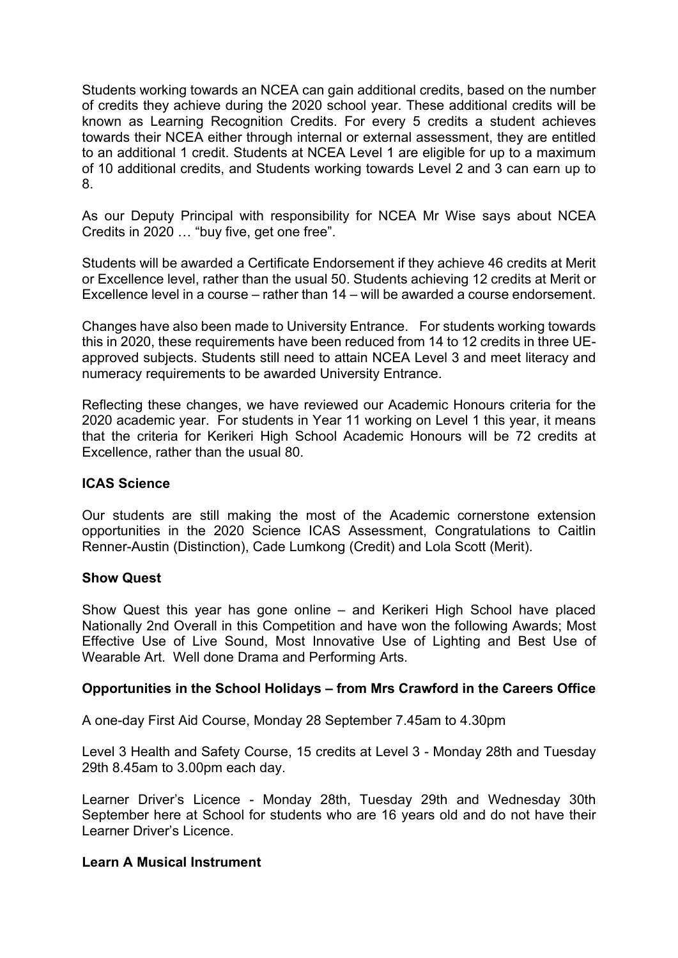Students working towards an NCEA can gain additional credits, based on the number of credits they achieve during the 2020 school year. These additional credits will be known as Learning Recognition Credits. For every 5 credits a student achieves towards their NCEA either through internal or external assessment, they are entitled to an additional 1 credit. Students at NCEA Level 1 are eligible for up to a maximum of 10 additional credits, and Students working towards Level 2 and 3 can earn up to 8.

As our Deputy Principal with responsibility for NCEA Mr Wise says about NCEA Credits in 2020 … "buy five, get one free".

Students will be awarded a Certificate Endorsement if they achieve 46 credits at Merit or Excellence level, rather than the usual 50. Students achieving 12 credits at Merit or Excellence level in a course – rather than 14 – will be awarded a course endorsement.

Changes have also been made to University Entrance. For students working towards this in 2020, these requirements have been reduced from 14 to 12 credits in three UEapproved subjects. Students still need to attain NCEA Level 3 and meet literacy and numeracy requirements to be awarded University Entrance.

Reflecting these changes, we have reviewed our Academic Honours criteria for the 2020 academic year. For students in Year 11 working on Level 1 this year, it means that the criteria for Kerikeri High School Academic Honours will be 72 credits at Excellence, rather than the usual 80.

#### **ICAS Science**

Our students are still making the most of the Academic cornerstone extension opportunities in the 2020 Science ICAS Assessment, Congratulations to Caitlin Renner-Austin (Distinction), Cade Lumkong (Credit) and Lola Scott (Merit).

#### **Show Quest**

Show Quest this year has gone online – and Kerikeri High School have placed Nationally 2nd Overall in this Competition and have won the following Awards; Most Effective Use of Live Sound, Most Innovative Use of Lighting and Best Use of Wearable Art. Well done Drama and Performing Arts.

### **Opportunities in the School Holidays – from Mrs Crawford in the Careers Office**

A one-day First Aid Course, Monday 28 September 7.45am to 4.30pm

Level 3 Health and Safety Course, 15 credits at Level 3 - Monday 28th and Tuesday 29th 8.45am to 3.00pm each day.

Learner Driver's Licence - Monday 28th, Tuesday 29th and Wednesday 30th September here at School for students who are 16 years old and do not have their Learner Driver's Licence.

### **Learn A Musical Instrument**